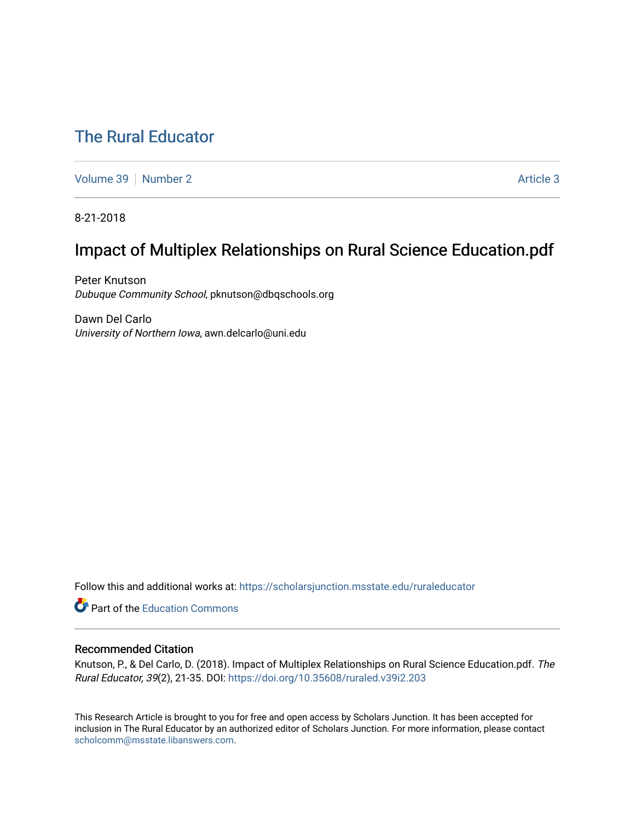# [The Rural Educator](https://scholarsjunction.msstate.edu/ruraleducator)

[Volume 39](https://scholarsjunction.msstate.edu/ruraleducator/vol39) [Number 2](https://scholarsjunction.msstate.edu/ruraleducator/vol39/iss2) [Article 3](https://scholarsjunction.msstate.edu/ruraleducator/vol39/iss2/3) Article 3

8-21-2018

# Impact of Multiplex Relationships on Rural Science Education.pdf

Peter Knutson Dubuque Community School, pknutson@dbqschools.org

Dawn Del Carlo University of Northern Iowa, awn.delcarlo@uni.edu

Follow this and additional works at: [https://scholarsjunction.msstate.edu/ruraleducator](https://scholarsjunction.msstate.edu/ruraleducator?utm_source=scholarsjunction.msstate.edu%2Fruraleducator%2Fvol39%2Fiss2%2F3&utm_medium=PDF&utm_campaign=PDFCoverPages)

**C** Part of the [Education Commons](http://network.bepress.com/hgg/discipline/784?utm_source=scholarsjunction.msstate.edu%2Fruraleducator%2Fvol39%2Fiss2%2F3&utm_medium=PDF&utm_campaign=PDFCoverPages)

# Recommended Citation

Knutson, P., & Del Carlo, D. (2018). Impact of Multiplex Relationships on Rural Science Education.pdf. The Rural Educator, 39(2), 21-35. DOI:<https://doi.org/10.35608/ruraled.v39i2.203>

This Research Article is brought to you for free and open access by Scholars Junction. It has been accepted for inclusion in The Rural Educator by an authorized editor of Scholars Junction. For more information, please contact [scholcomm@msstate.libanswers.com.](mailto:scholcomm@msstate.libanswers.com)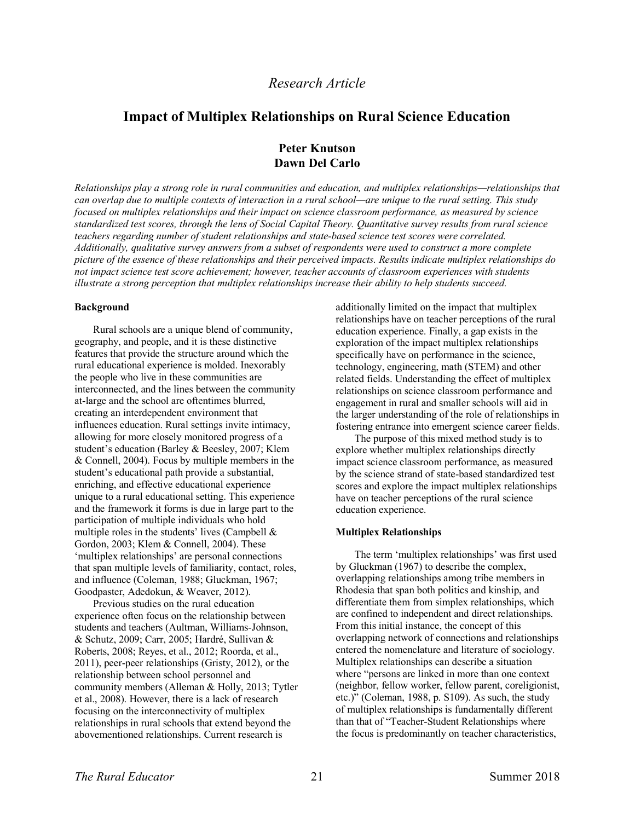# *Research Article*

# **Impact of Multiplex Relationships on Rural Science Education**

# **Peter Knutson Dawn Del Carlo**

*Relationships play a strong role in rural communities and education, and multiplex relationships—relationships that* can overlap due to multiple contexts of interaction in a rural school—are unique to the rural setting. This study *focused on multiplex relationships and their impact on science classroom performance, as measured by science* standardized test scores, through the lens of Social Capital Theory. Ouantitative survey results from rural science *teachers regarding number of student relationships and state-based science test scores were correlated. Additionally, qualitative survey answers from a subset of respondents were used to construct a more complete* picture of the essence of these relationships and their perceived impacts. Results indicate multiplex relationships do *not impact science test score achievement; however, teacher accounts of classroom experiences with students illustrate a strong perception that multiplex relationships increase their ability to help students succeed.*

## **Background**

Rural schools are a unique blend of community, geography, and people, and it is these distinctive features that provide the structure around which the rural educational experience is molded. Inexorably the people who live in these communities are interconnected, and the lines between the community at-large and the school are oftentimes blurred, creating an interdependent environment that influences education. Rural settings invite intimacy, allowing for more closely monitored progress of a student's education (Barley & Beesley, 2007; Klem & Connell, 2004). Focus by multiple members in the student's educational path provide a substantial, enriching, and effective educational experience unique to a rural educational setting. This experience and the framework it forms is due in large part to the participation of multiple individuals who hold multiple roles in the students' lives (Campbell  $\&$ Gordon, 2003; Klem & Connell, 2004). These 'multiplex relationships' are personal connections that span multiple levels of familiarity, contact, roles, and influence (Coleman, 1988; Gluckman, 1967; Goodpaster, Adedokun, & Weaver, 2012).

Previous studies on the rural education experience often focus on the relationship between students and teachers (Aultman, Williams-Johnson, & Schutz, 2009; Carr, 2005; Hardré, Sullivan & Roberts, 2008; Reyes, et al., 2012; Roorda, et al., 2011), peer-peer relationships (Gristy, 2012), or the relationship between school personnel and community members (Alleman & Holly, 2013; Tytler et al., 2008). However, there is a lack of research focusing on the interconnectivity of multiplex relationships in rural schools that extend beyond the abovementioned relationships. Current research is

additionally limited on the impact that multiplex relationships have on teacher perceptions of the rural education experience. Finally, a gap exists in the exploration of the impact multiplex relationships specifically have on performance in the science, technology, engineering, math (STEM) and other related fields. Understanding the effect of multiplex relationships on science classroom performance and engagement in rural and smaller schools will aid in the larger understanding of the role of relationships in fostering entrance into emergent science career fields.

The purpose of this mixed method study is to explore whether multiplex relationships directly impact science classroom performance, as measured by the science strand of state-based standardized test scores and explore the impact multiplex relationships have on teacher perceptions of the rural science education experience.

## **Multiplex Relationships**

The term 'multiplex relationships' was first used by Gluckman (1967) to describe the complex, overlapping relationships among tribe members in Rhodesia that span both politics and kinship, and differentiate them from simplex relationships, which are confined to independent and direct relationships. From this initial instance, the concept of this overlapping network of connections and relationships entered the nomenclature and literature of sociology. Multiplex relationships can describe a situation where "persons are linked in more than one context (neighbor, fellow worker, fellow parent, coreligionist, etc.)" (Coleman, 1988, p. S109). As such, the study of multiplex relationships is fundamentally different than that of "Teacher-Student Relationships where the focus is predominantly on teacher characteristics,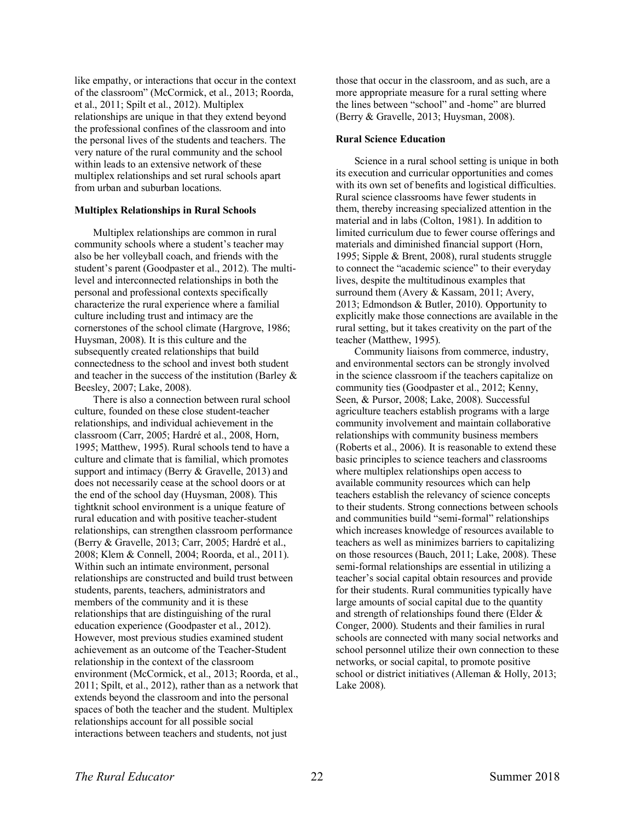like empathy, or interactions that occur in the context of the classroom" (McCormick, et al., 2013; Roorda, et al., 2011; Spilt et al., 2012). Multiplex relationships are unique in that they extend beyond the professional confines of the classroom and into the personal lives of the students and teachers. The very nature of the rural community and the school within leads to an extensive network of these multiplex relationships and set rural schools apart from urban and suburban locations.

## **Multiplex Relationships in Rural Schools**

Multiplex relationships are common in rural community schools where a student's teacher may also be her volleyball coach, and friends with the student's parent (Goodpaster et al., 2012). The multilevel and interconnected relationships in both the personal and professional contexts specifically characterize the rural experience where a familial culture including trust and intimacy are the cornerstones of the school climate (Hargrove, 1986; Huysman, 2008). It is this culture and the subsequently created relationships that build connectedness to the school and invest both student and teacher in the success of the institution (Barley & Beesley, 2007; Lake, 2008).

There is also a connection between rural school culture, founded on these close student-teacher relationships, and individual achievement in the classroom (Carr, 2005; Hardré et al., 2008, Horn, 1995; Matthew, 1995). Rural schools tend to have a culture and climate that is familial, which promotes support and intimacy (Berry & Gravelle, 2013) and does not necessarily cease at the school doors or at the end of the school day (Huysman, 2008). This tightknit school environment is a unique feature of rural education and with positive teacher-student relationships, can strengthen classroom performance (Berry & Gravelle, 2013; Carr, 2005; Hardré et al., 2008; Klem & Connell, 2004; Roorda, et al., 2011). Within such an intimate environment, personal relationships are constructed and build trust between students, parents, teachers, administrators and members of the community and it is these relationships that are distinguishing of the rural education experience (Goodpaster et al., 2012). However, most previous studies examined student achievement as an outcome of the Teacher-Student relationship in the context of the classroom environment (McCormick, et al., 2013; Roorda, et al., 2011; Spilt, et al., 2012), rather than as a network that extends beyond the classroom and into the personal spaces of both the teacher and the student. Multiplex relationships account for all possible social interactions between teachers and students, not just

those that occur in the classroom, and as such, are a more appropriate measure for a rural setting where the lines between "school" and -home" are blurred (Berry & Gravelle, 2013; Huysman, 2008).

#### **Rural Science Education**

Science in a rural school setting is unique in both its execution and curricular opportunities and comes with its own set of benefits and logistical difficulties. Rural science classrooms have fewer students in them, thereby increasing specialized attention in the material and in labs (Colton, 1981). In addition to limited curriculum due to fewer course offerings and materials and diminished financial support (Horn, 1995; Sipple & Brent, 2008), rural students struggle to connect the "academic science" to their everyday lives, despite the multitudinous examples that surround them (Avery & Kassam, 2011; Avery, 2013; Edmondson & Butler, 2010). Opportunity to explicitly make those connections are available in the rural setting, but it takes creativity on the part of the teacher (Matthew, 1995).

Community liaisons from commerce, industry, and environmental sectors can be strongly involved in the science classroom if the teachers capitalize on community ties (Goodpaster et al., 2012; Kenny, Seen, & Pursor, 2008; Lake, 2008). Successful agriculture teachers establish programs with a large community involvement and maintain collaborative relationships with community business members (Roberts et al., 2006). It is reasonable to extend these basic principles to science teachers and classrooms where multiplex relationships open access to available community resources which can help teachers establish the relevancy of science concepts to their students. Strong connections between schools and communities build "semi-formal" relationships which increases knowledge of resources available to teachers as well as minimizes barriers to capitalizing on those resources (Bauch, 2011; Lake, 2008). These semi-formal relationships are essential in utilizing a teacher's social capital obtain resources and provide for their students. Rural communities typically have large amounts of social capital due to the quantity and strength of relationships found there (Elder & Conger, 2000). Students and their families in rural schools are connected with many social networks and school personnel utilize their own connection to these networks, or social capital, to promote positive school or district initiatives (Alleman & Holly, 2013; Lake 2008).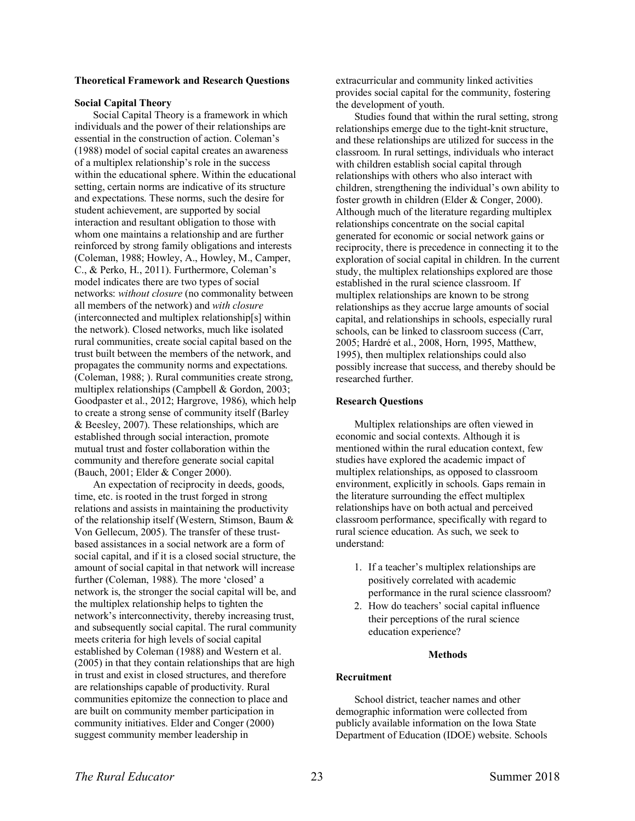# **Theoretical Framework and Research Questions**

### **Social Capital Theory**

Social Capital Theory is a framework in which individuals and the power of their relationships are essential in the construction of action. Coleman's (1988) model of social capital creates an awareness of a multiplex relationship's role in the success within the educational sphere. Within the educational setting, certain norms are indicative of its structure and expectations. These norms, such the desire for student achievement, are supported by social interaction and resultant obligation to those with whom one maintains a relationship and are further reinforced by strong family obligations and interests (Coleman, 1988; Howley, A., Howley, M., Camper, C., & Perko, H., 2011). Furthermore, Coleman's model indicates there are two types of social networks: *without closure* (no commonality between all members of the network) and *with closure* (interconnected and multiplex relationship[s] within the network). Closed networks, much like isolated rural communities, create social capital based on the trust built between the members of the network, and propagates the community norms and expectations. (Coleman, 1988; ). Rural communities create strong, multiplex relationships (Campbell & Gordon, 2003; Goodpaster et al., 2012; Hargrove, 1986), which help to create a strong sense of community itself (Barley & Beesley, 2007). These relationships, which are established through social interaction, promote mutual trust and foster collaboration within the community and therefore generate social capital (Bauch, 2001; Elder & Conger 2000).

An expectation of reciprocity in deeds, goods, time, etc. is rooted in the trust forged in strong relations and assists in maintaining the productivity of the relationship itself (Western, Stimson, Baum & Von Gellecum, 2005). The transfer of these trustbased assistances in a social network are a form of social capital, and if it is a closed social structure, the amount of social capital in that network will increase further (Coleman, 1988). The more 'closed' a network is, the stronger the social capital will be, and the multiplex relationship helps to tighten the network's interconnectivity, thereby increasing trust, and subsequently social capital. The rural community meets criteria for high levels of social capital established by Coleman (1988) and Western et al. (2005) in that they contain relationships that are high in trust and exist in closed structures, and therefore are relationships capable of productivity. Rural communities epitomize the connection to place and are built on community member participation in community initiatives. Elder and Conger (2000) suggest community member leadership in

extracurricular and community linked activities provides social capital for the community, fostering the development of youth.

Studies found that within the rural setting, strong relationships emerge due to the tight-knit structure, and these relationships are utilized for success in the classroom. In rural settings, individuals who interact with children establish social capital through relationships with others who also interact with children, strengthening the individual's own ability to foster growth in children (Elder & Conger, 2000). Although much of the literature regarding multiplex relationships concentrate on the social capital generated for economic or social network gains or reciprocity, there is precedence in connecting it to the exploration of social capital in children. In the current study, the multiplex relationships explored are those established in the rural science classroom. If multiplex relationships are known to be strong relationships as they accrue large amounts of social capital, and relationships in schools, especially rural schools, can be linked to classroom success (Carr, 2005; Hardré et al., 2008, Horn, 1995, Matthew, 1995), then multiplex relationships could also possibly increase that success, and thereby should be researched further.

#### **Research Questions**

Multiplex relationships are often viewed in economic and social contexts. Although it is mentioned within the rural education context, few studies have explored the academic impact of multiplex relationships, as opposed to classroom environment, explicitly in schools. Gaps remain in the literature surrounding the effect multiplex relationships have on both actual and perceived classroom performance, specifically with regard to rural science education. As such, we seek to understand:

- 1. If a teacher's multiplex relationships are positively correlated with academic performance in the rural science classroom?
- 2. How do teachers' social capital influence their perceptions of the rural science education experience?

### **Methods**

## **Recruitment**

School district, teacher names and other demographic information were collected from publicly available information on the Iowa State Department of Education (IDOE) website. Schools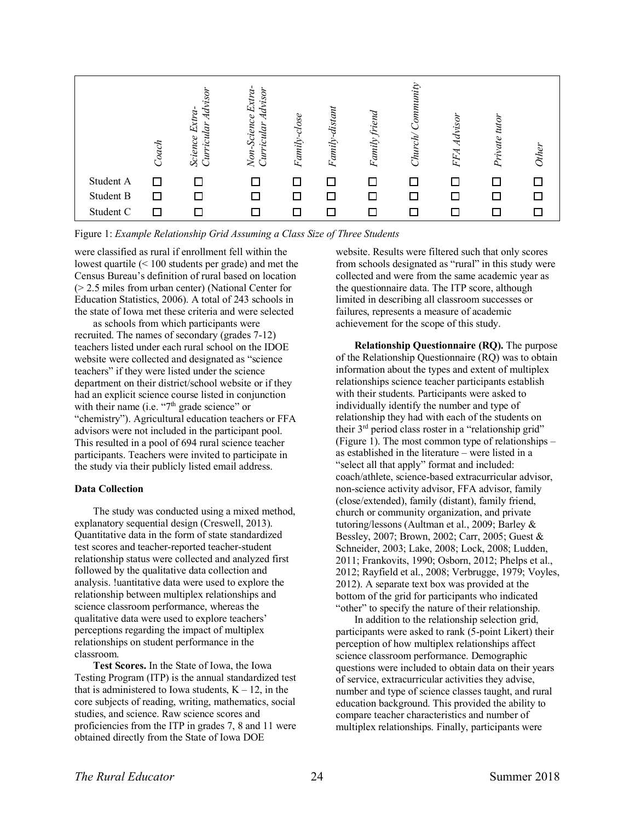

Figure 1: *Example Relationship Grid Assuming a Class Size of Three Students*

were classified as rural if enrollment fell within the lowest quartile (< 100 students per grade) and met the Census Bureau's definition of rural based on location (> 2.5 miles from urban center) (National Center for Education Statistics, 2006). A total of 243 schools in the state of Iowa met these criteria and were selected

as schools from which participants were recruited. The names of secondary (grades 7-12) teachers listed under each rural school on the IDOE website were collected and designated as "science teachers" if they were listed under the science department on their district/school website or if they had an explicit science course listed in conjunction with their name (i.e.  $47<sup>th</sup>$  grade science" or "chemistry"). Agricultural education teachers or FFA advisors were not included in the participant pool. This resulted in a pool of 694 rural science teacher participants. Teachers were invited to participate in the study via their publicly listed email address.

# **Data Collection**

The study was conducted using a mixed method, explanatory sequential design (Creswell, 2013). Quantitative data in the form of state standardized test scores and teacher-reported teacher-student relationship status were collected and analyzed first followed by the qualitative data collection and analysis. !uantitative data were used to explore the relationship between multiplex relationships and science classroom performance, whereas the qualitative data were used to explore teachers' perceptions regarding the impact of multiplex relationships on student performance in the classroom.

**Test Scores.** In the State of Iowa, the Iowa Testing Program (ITP) is the annual standardized test that is administered to Iowa students,  $K - 12$ , in the core subjects of reading, writing, mathematics, social studies, and science. Raw science scores and proficiencies from the ITP in grades 7, 8 and 11 were obtained directly from the State of Iowa DOE

website. Results were filtered such that only scores from schools designated as "rural" in this study were collected and were from the same academic year as the questionnaire data. The ITP score, although limited in describing all classroom successes or failures, represents a measure of academic achievement for the scope of this study.

**Relationship Questionnaire (RQ).** The purpose of the Relationship Questionnaire (RQ) was to obtain information about the types and extent of multiplex relationships science teacher participants establish with their students. Participants were asked to individually identify the number and type of relationship they had with each of the students on their 3rd period class roster in a "relationship grid" (Figure 1). The most common type of relationships – as established in the literature – were listed in a "select all that apply" format and included: coach/athlete, science-based extracurricular advisor, non-science activity advisor, FFA advisor, family (close/extended), family (distant), family friend, church or community organization, and private tutoring/lessons (Aultman et al., 2009; Barley & Bessley, 2007; Brown, 2002; Carr, 2005; Guest & Schneider, 2003; Lake, 2008; Lock, 2008; Ludden, 2011; Frankovits, 1990; Osborn, 2012; Phelps et al., 2012; Rayfield et al., 2008; Verbrugge, 1979; Voyles, 2012). A separate text box was provided at the bottom of the grid for participants who indicated "other" to specify the nature of their relationship.

In addition to the relationship selection grid, participants were asked to rank (5-point Likert) their perception of how multiplex relationships affect science classroom performance. Demographic questions were included to obtain data on their years of service, extracurricular activities they advise, number and type of science classes taught, and rural education background. This provided the ability to compare teacher characteristics and number of multiplex relationships. Finally, participants were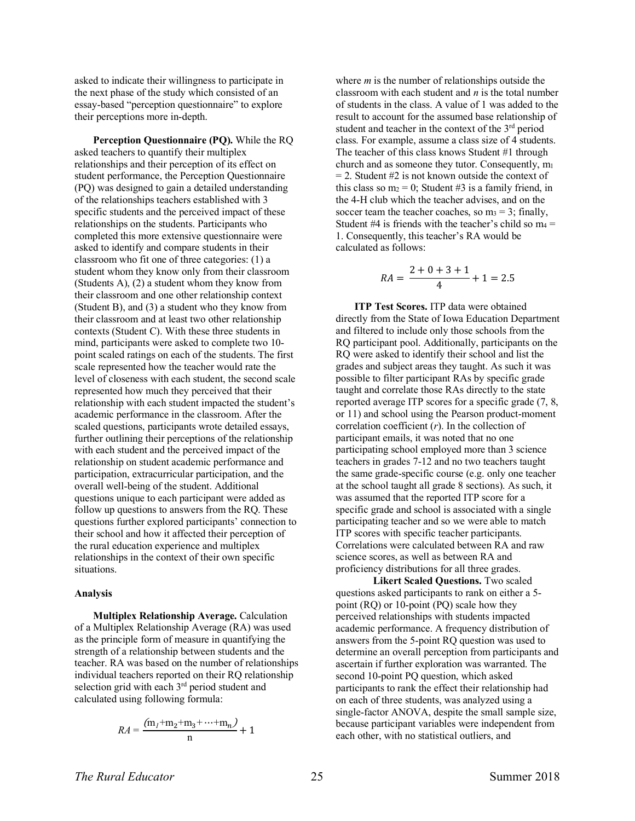asked to indicate their willingness to participate in the next phase of the study which consisted of an essay-based "perception questionnaire" to explore their perceptions more in-depth.

**Perception Questionnaire (PQ).** While the RQ asked teachers to quantify their multiplex relationships and their perception of its effect on student performance, the Perception Questionnaire (PQ) was designed to gain a detailed understanding of the relationships teachers established with 3 specific students and the perceived impact of these relationships on the students. Participants who completed this more extensive questionnaire were asked to identify and compare students in their classroom who fit one of three categories: (1) a student whom they know only from their classroom (Students A), (2) a student whom they know from their classroom and one other relationship context (Student B), and (3) a student who they know from their classroom and at least two other relationship contexts (Student C). With these three students in mind, participants were asked to complete two 10 point scaled ratings on each of the students. The first scale represented how the teacher would rate the level of closeness with each student, the second scale represented how much they perceived that their relationship with each student impacted the student's academic performance in the classroom. After the scaled questions, participants wrote detailed essays, further outlining their perceptions of the relationship with each student and the perceived impact of the relationship on student academic performance and participation, extracurricular participation, and the overall well-being of the student. Additional questions unique to each participant were added as follow up questions to answers from the RQ. These questions further explored participants' connection to their school and how it affected their perception of the rural education experience and multiplex relationships in the context of their own specific situations.

#### **Analysis**

**Multiplex Relationship Average.** Calculation of a Multiplex Relationship Average (RA) was used as the principle form of measure in quantifying the strength of a relationship between students and the teacher. RA was based on the number of relationships individual teachers reported on their RQ relationship selection grid with each 3rd period student and calculated using following formula:

$$
RA = \frac{(m_1 + m_2 + m_3 + \dots + m_n)}{n} + 1
$$

where *m* is the number of relationships outside the classroom with each student and *n* is the total number of students in the class. A value of 1 was added to the result to account for the assumed base relationship of student and teacher in the context of the 3<sup>rd</sup> period class. For example, assume a class size of 4 students. The teacher of this class knows Student #1 through church and as someone they tutor. Consequently, m1  $= 2$ . Student #2 is not known outside the context of this class so  $m_2 = 0$ ; Student #3 is a family friend, in the 4-H club which the teacher advises, and on the soccer team the teacher coaches, so  $m_3 = 3$ ; finally, Student #4 is friends with the teacher's child so  $m_4$  = 1. Consequently, this teacher's RA would be calculated as follows:

$$
RA = \frac{2+0+3+1}{4} + 1 = 2.5
$$

**ITP Test Scores.** ITP data were obtained directly from the State of Iowa Education Department and filtered to include only those schools from the RQ participant pool. Additionally, participants on the RQ were asked to identify their school and list the grades and subject areas they taught. As such it was possible to filter participant RAs by specific grade taught and correlate those RAs directly to the state reported average ITP scores for a specific grade (7, 8, or 11) and school using the Pearson product-moment correlation coefficient (*r*). In the collection of participant emails, it was noted that no one participating school employed more than 3 science teachers in grades 7-12 and no two teachers taught the same grade-specific course (e.g. only one teacher at the school taught all grade 8 sections). As such, it was assumed that the reported ITP score for a specific grade and school is associated with a single participating teacher and so we were able to match ITP scores with specific teacher participants. Correlations were calculated between RA and raw science scores, as well as between RA and proficiency distributions for all three grades.

**Likert Scaled Questions.** Two scaled questions asked participants to rank on either a 5 point (RQ) or 10-point (PQ) scale how they perceived relationships with students impacted academic performance. A frequency distribution of answers from the 5-point RQ question was used to determine an overall perception from participants and ascertain if further exploration was warranted. The second 10-point PQ question, which asked participants to rank the effect their relationship had on each of three students, was analyzed using a single-factor ANOVA, despite the small sample size, because participant variables were independent from each other, with no statistical outliers, and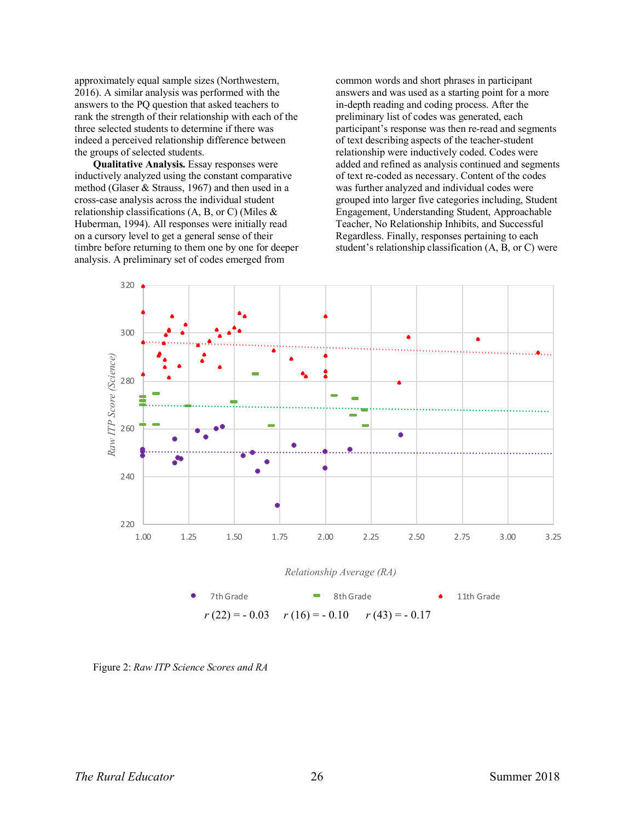approximately equal sample sizes (Northwestern, 2016). A similar analysis was performed with the answers to the PQ question that asked teachers to rank the strength of their relationship with each of the three selected students to determine if there was indeed a perceived relationship difference between the groups of selected students.

**Qualitative Analysis.** Essay responses were inductively analyzed using the constant comparative method (Glaser & Strauss, 1967) and then used in a cross-case analysis across the individual student relationship classifications  $(A, B, or C)$  (Miles  $\&$ Huberman, 1994). All responses were initially read on a cursory level to get a general sense of their timbre before returning to them one by one for deeper analysis. A preliminary set of codes emerged from

common words and short phrases in participant answers and was used as a starting point for a more in-depth reading and coding process. After the preliminary list of codes was generated, each participant's response was then re-read and segments of text describing aspects of the teacher-student relationship were inductively coded. Codes were added and refined as analysis continued and segments of text re-coded as necessary. Content of the codes was further analyzed and individual codes were grouped into larger five categories including, Student Engagement, Understanding Student, Approachable Teacher, No Relationship Inhibits, and Successful Regardless. Finally, responses pertaining to each student's relationship classification (A, B, or C) were



Figure 2: *Raw ITP Science Scores and RA*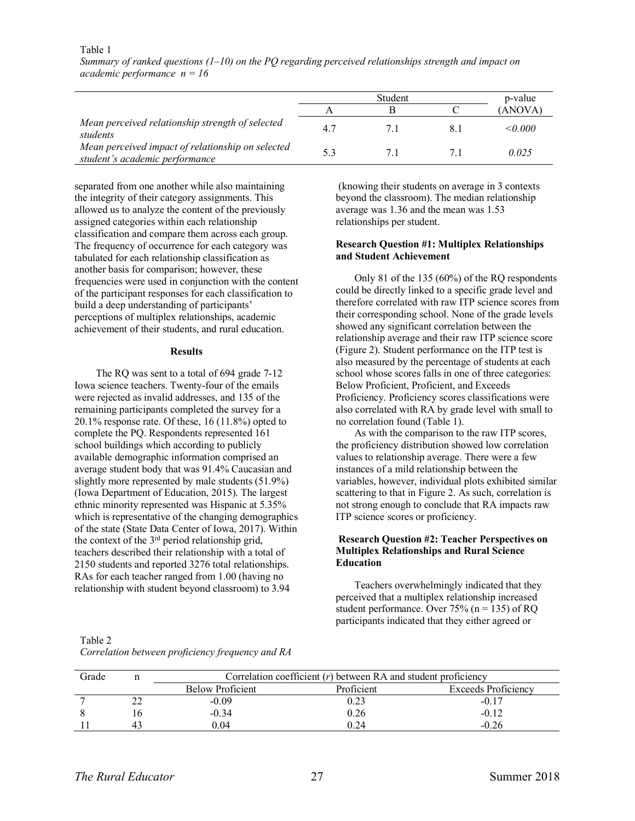#### Table 1

|                                                                                     | Student |  |  | p-value            |  |
|-------------------------------------------------------------------------------------|---------|--|--|--------------------|--|
|                                                                                     |         |  |  | (ANOVA)            |  |
| Mean perceived relationship strength of selected<br>students                        | 47      |  |  | $<$ 0.000 $\sigma$ |  |
| Mean perceived impact of relationship on selected<br>student's academic performance |         |  |  | 0.025              |  |

*Summary of ranked questions (1–10) on the PQ regarding perceived relationships strength and impact on academic performance n = 16*

separated from one another while also maintaining the integrity of their category assignments. This allowed us to analyze the content of the previously assigned categories within each relationship classification and compare them across each group. The frequency of occurrence for each category was tabulated for each relationship classification as another basis for comparison; however, these frequencies were used in conjunction with the content of the participant responses for each classification to build a deep understanding of participants' perceptions of multiplex relationships, academic achievement of their students, and rural education.

#### **Results**

The RQ was sent to a total of 694 grade 7-12 Iowa science teachers. Twenty-four of the emails were rejected as invalid addresses, and 135 of the remaining participants completed the survey for a 20.1% response rate. Of these, 16 (11.8%) opted to complete the PQ. Respondents represented 161 school buildings which according to publicly available demographic information comprised an average student body that was 91.4% Caucasian and slightly more represented by male students (51.9%) (Iowa Department of Education, 2015). The largest ethnic minority represented was Hispanic at 5.35% which is representative of the changing demographics of the state (State Data Center of Iowa, 2017). Within the context of the 3rd period relationship grid, teachers described their relationship with a total of 2150 students and reported 3276 total relationships. RAs for each teacher ranged from 1.00 (having no relationship with student beyond classroom) to 3.94

(knowing their students on average in 3 contexts beyond the classroom). The median relationship average was 1.36 and the mean was 1.53 relationships per student.

# **Research Question #1: Multiplex Relationships and Student Achievement**

Only 81 of the 135 (60%) of the RQ respondents could be directly linked to a specific grade level and therefore correlated with raw ITP science scores from their corresponding school. None of the grade levels showed any significant correlation between the relationship average and their raw ITP science score (Figure 2). Student performance on the ITP test is also measured by the percentage of students at each school whose scores falls in one of three categories: Below Proficient, Proficient, and Exceeds Proficiency. Proficiency scores classifications were also correlated with RA by grade level with small to no correlation found (Table 1).

As with the comparison to the raw ITP scores, the proficiency distribution showed low correlation values to relationship average. There were a few instances of a mild relationship between the variables, however, individual plots exhibited similar scattering to that in Figure 2. As such, correlation is not strong enough to conclude that RA impacts raw ITP science scores or proficiency.

# **Research Question #2: Teacher Perspectives on Multiplex Relationships and Rural Science Education**

Teachers overwhelmingly indicated that they perceived that a multiplex relationship increased student performance. Over 75% ( $n = 135$ ) of RQ participants indicated that they either agreed or

Table 2 *Correlation between proficiency frequency and RA*

| Grade | Correlation coefficient $(r)$ between RA and student proficiency |            |                            |  |
|-------|------------------------------------------------------------------|------------|----------------------------|--|
|       | <b>Below Proficient</b>                                          | Proficient | <b>Exceeds Proficiency</b> |  |
|       | $-0.09$                                                          |            |                            |  |
|       | $-0.34$                                                          | 0.26       | $-0.12$                    |  |
|       | 0.04                                                             | 0 24       | $-0.26$                    |  |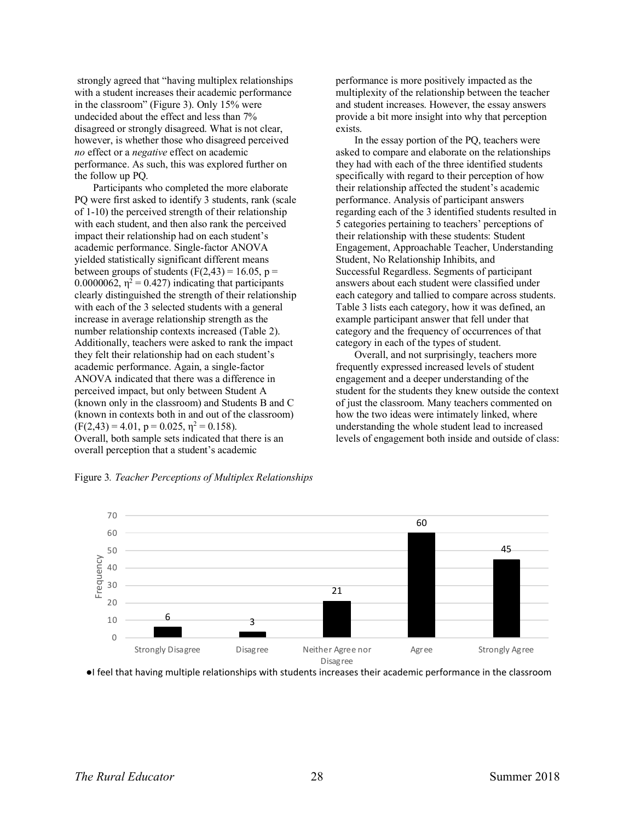strongly agreed that "having multiplex relationships with a student increases their academic performance in the classroom" (Figure 3). Only 15% were undecided about the effect and less than 7% disagreed or strongly disagreed. What is not clear, however, is whether those who disagreed perceived *no* effect or a *negative* effect on academic performance. As such, this was explored further on the follow up PQ.

Participants who completed the more elaborate PQ were first asked to identify 3 students, rank (scale of 1-10) the perceived strength of their relationship with each student, and then also rank the perceived impact their relationship had on each student's academic performance. Single-factor ANOVA yielded statistically significant different means between groups of students  $(F(2, 43) = 16.05, p =$ 0.0000062,  $\eta^2 = 0.427$ ) indicating that participants clearly distinguished the strength of their relationship with each of the 3 selected students with a general increase in average relationship strength as the number relationship contexts increased (Table 2). Additionally, teachers were asked to rank the impact they felt their relationship had on each student's academic performance. Again, a single-factor ANOVA indicated that there was a difference in perceived impact, but only between Student A (known only in the classroom) and Students B and C (known in contexts both in and out of the classroom)  $(F(2,43) = 4.01, p = 0.025, \eta^2 = 0.158).$ Overall, both sample sets indicated that there is an overall perception that a student's academic

Figure 3*. Teacher Perceptions of Multiplex Relationships*

performance is more positively impacted as the multiplexity of the relationship between the teacher and student increases. However, the essay answers provide a bit more insight into why that perception exists.

In the essay portion of the PQ, teachers were asked to compare and elaborate on the relationships they had with each of the three identified students specifically with regard to their perception of how their relationship affected the student's academic performance. Analysis of participant answers regarding each of the 3 identified students resulted in 5 categories pertaining to teachers' perceptions of their relationship with these students: Student Engagement, Approachable Teacher, Understanding Student, No Relationship Inhibits, and Successful Regardless. Segments of participant answers about each student were classified under each category and tallied to compare across students. Table 3 lists each category, how it was defined, an example participant answer that fell under that category and the frequency of occurrences of that category in each of the types of student.

Overall, and not surprisingly, teachers more frequently expressed increased levels of student engagement and a deeper understanding of the student for the students they knew outside the context of just the classroom. Many teachers commented on how the two ideas were intimately linked, where understanding the whole student lead to increased levels of engagement both inside and outside of class:

60



70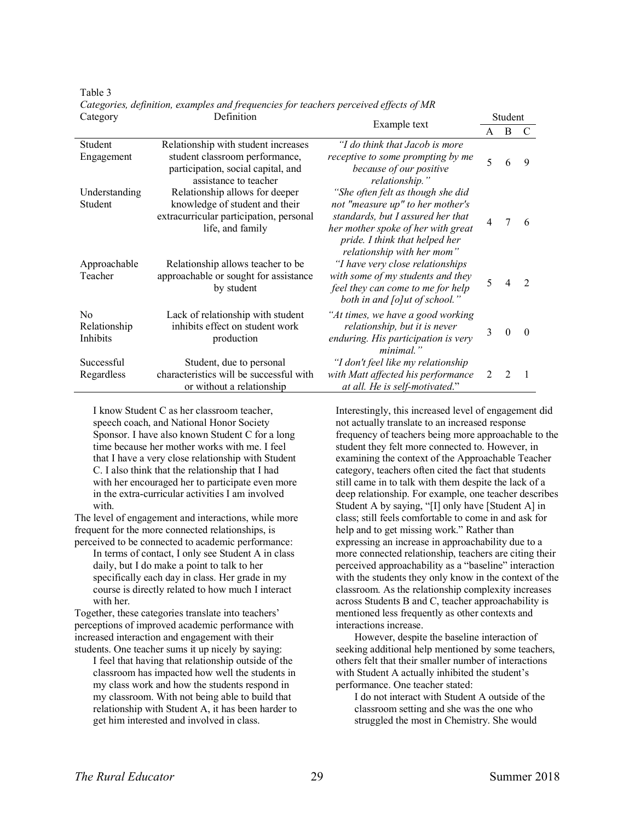Table 3

| $\sim$ $\sim$ $\sim$ $\sim$ $\sim$         |                                                                                                                                                                      |                                                                                                                                                                                                                                                      | ouuvin |                |                             |
|--------------------------------------------|----------------------------------------------------------------------------------------------------------------------------------------------------------------------|------------------------------------------------------------------------------------------------------------------------------------------------------------------------------------------------------------------------------------------------------|--------|----------------|-----------------------------|
|                                            |                                                                                                                                                                      | Example text                                                                                                                                                                                                                                         | A      | B              | C                           |
| Student<br>Engagement                      | Relationship with student increases<br>student classroom performance,<br>participation, social capital, and<br>assistance to teacher                                 | "I do think that Jacob is more<br>receptive to some prompting by me<br>because of our positive<br>relationship."                                                                                                                                     | 5      | 6              | 9                           |
| Understanding<br>Student<br>Approachable   | Relationship allows for deeper<br>knowledge of student and their<br>extracurricular participation, personal<br>life, and family<br>Relationship allows teacher to be | "She often felt as though she did<br>not "measure up" to her mother's<br>standards, but I assured her that<br>her mother spoke of her with great<br>pride. I think that helped her<br>relationship with her mom"<br>"I have very close relationships | 4      |                | 6                           |
| Teacher                                    | approachable or sought for assistance<br>by student                                                                                                                  | with some of my students and they<br>feel they can come to me for help<br>both in and [o]ut of school."                                                                                                                                              | 5      |                | $\mathcal{D}_{\mathcal{L}}$ |
| N <sub>0</sub><br>Relationship<br>Inhibits | Lack of relationship with student<br>inhibits effect on student work<br>production                                                                                   | "At times, we have a good working<br>relationship, but it is never<br>enduring. His participation is very<br>minimal."                                                                                                                               | 3      | $\Omega$       | $\Omega$                    |
| Successful<br>Regardless                   | Student, due to personal<br>characteristics will be successful with<br>or without a relationship                                                                     | "I don't feel like my relationship<br>with Matt affected his performance<br>at all. He is self-motivated."                                                                                                                                           | 2      | $\mathfrak{D}$ |                             |

*Categories, definition, examples and frequencies for teachers perceived effects of MR* Category Definition

I know Student C as her classroom teacher, speech coach, and National Honor Society Sponsor. I have also known Student C for a long time because her mother works with me. I feel that I have a very close relationship with Student C. I also think that the relationship that I had with her encouraged her to participate even more in the extra-curricular activities I am involved with.

The level of engagement and interactions, while more frequent for the more connected relationships, is perceived to be connected to academic performance:

In terms of contact, I only see Student A in class daily, but I do make a point to talk to her specifically each day in class. Her grade in my course is directly related to how much I interact with her.

Together, these categories translate into teachers' perceptions of improved academic performance with increased interaction and engagement with their students. One teacher sums it up nicely by saying:

I feel that having that relationship outside of the classroom has impacted how well the students in my class work and how the students respond in my classroom. With not being able to build that relationship with Student A, it has been harder to get him interested and involved in class.

Interestingly, this increased level of engagement did not actually translate to an increased response frequency of teachers being more approachable to the student they felt more connected to. However, in examining the context of the Approachable Teacher category, teachers often cited the fact that students still came in to talk with them despite the lack of a deep relationship. For example, one teacher describes Student A by saying, "[I] only have [Student A] in class; still feels comfortable to come in and ask for help and to get missing work." Rather than expressing an increase in approachability due to a more connected relationship, teachers are citing their perceived approachability as a "baseline" interaction with the students they only know in the context of the classroom. As the relationship complexity increases across Students B and C, teacher approachability is mentioned less frequently as other contexts and interactions increase.

Student

However, despite the baseline interaction of seeking additional help mentioned by some teachers, others felt that their smaller number of interactions with Student A actually inhibited the student's performance. One teacher stated:

I do not interact with Student A outside of the classroom setting and she was the one who struggled the most in Chemistry. She would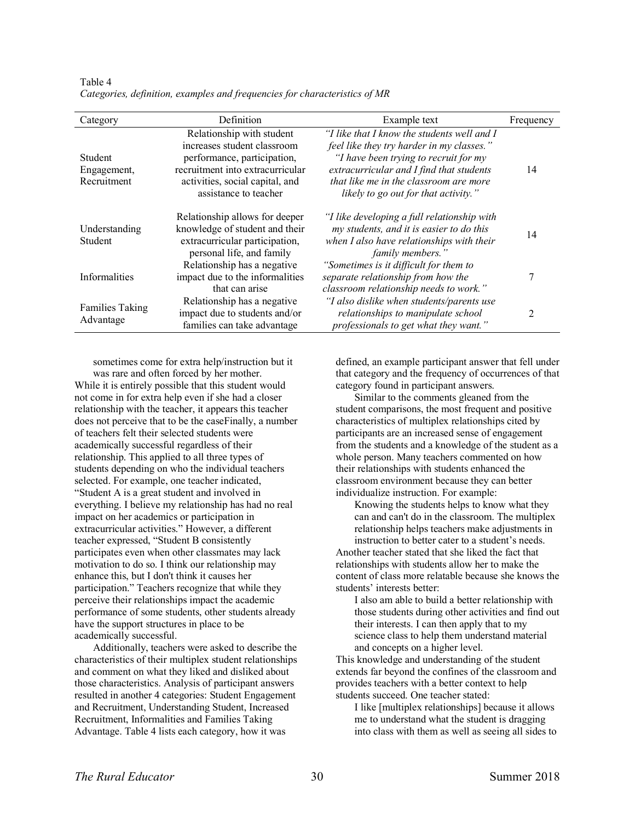| Category                                     | Definition                                                                                                                                                                              | Example text                                                                                                                                                                                                                                                    | Frequency |
|----------------------------------------------|-----------------------------------------------------------------------------------------------------------------------------------------------------------------------------------------|-----------------------------------------------------------------------------------------------------------------------------------------------------------------------------------------------------------------------------------------------------------------|-----------|
| <b>Student</b><br>Engagement,<br>Recruitment | Relationship with student<br>increases student classroom<br>performance, participation,<br>recruitment into extracurricular<br>activities, social capital, and<br>assistance to teacher | "I like that I know the students well and I<br>feel like they try harder in my classes."<br>"I have been trying to recruit for my<br>extracurricular and I find that students<br>that like me in the classroom are more<br>likely to go out for that activity." | 14        |
| Understanding<br><b>Student</b>              | Relationship allows for deeper<br>knowledge of student and their<br>extracurricular participation,<br>personal life, and family                                                         | "I like developing a full relationship with<br>my students, and it is easier to do this<br>when I also have relationships with their<br>family members."                                                                                                        | 14        |
| <b>Informalities</b>                         | Relationship has a negative<br>impact due to the informalities<br>that can arise                                                                                                        | "Sometimes is it difficult for them to<br>separate relationship from how the<br>classroom relationship needs to work."                                                                                                                                          | 7         |
| <b>Families Taking</b><br>Advantage          | Relationship has a negative<br>impact due to students and/or<br>families can take advantage                                                                                             | "I also dislike when students/parents use<br>relationships to manipulate school<br>professionals to get what they want."                                                                                                                                        | 2         |

Table 4 *Categories, definition, examples and frequencies for characteristics of MR*

sometimes come for extra help/instruction but it

was rare and often forced by her mother. While it is entirely possible that this student would not come in for extra help even if she had a closer relationship with the teacher, it appears this teacher does not perceive that to be the caseFinally, a number of teachers felt their selected students were academically successful regardless of their relationship. This applied to all three types of students depending on who the individual teachers selected. For example, one teacher indicated, "Student A is a great student and involved in everything. I believe my relationship has had no real impact on her academics or participation in extracurricular activities." However, a different teacher expressed, "Student B consistently participates even when other classmates may lack motivation to do so. I think our relationship may enhance this, but I don't think it causes her participation." Teachers recognize that while they perceive their relationships impact the academic performance of some students, other students already have the support structures in place to be academically successful.

Additionally, teachers were asked to describe the characteristics of their multiplex student relationships and comment on what they liked and disliked about those characteristics. Analysis of participant answers resulted in another 4 categories: Student Engagement and Recruitment, Understanding Student, Increased Recruitment, Informalities and Families Taking Advantage. Table 4 lists each category, how it was

defined, an example participant answer that fell under that category and the frequency of occurrences of that category found in participant answers.

Similar to the comments gleaned from the student comparisons, the most frequent and positive characteristics of multiplex relationships cited by participants are an increased sense of engagement from the students and a knowledge of the student as a whole person. Many teachers commented on how their relationships with students enhanced the classroom environment because they can better individualize instruction. For example:

Knowing the students helps to know what they can and can't do in the classroom. The multiplex relationship helps teachers make adjustments in instruction to better cater to a student's needs. Another teacher stated that she liked the fact that relationships with students allow her to make the content of class more relatable because she knows the students' interests better:

I also am able to build a better relationship with those students during other activities and find out their interests. I can then apply that to my science class to help them understand material and concepts on a higher level.

This knowledge and understanding of the student extends far beyond the confines of the classroom and provides teachers with a better context to help students succeed. One teacher stated:

I like [multiplex relationships] because it allows me to understand what the student is dragging into class with them as well as seeing all sides to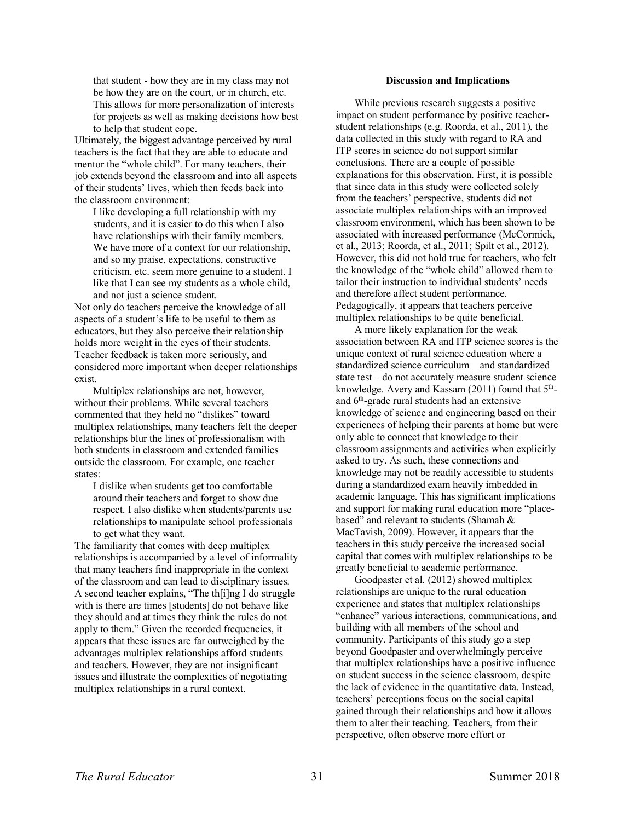that student - how they are in my class may not be how they are on the court, or in church, etc. This allows for more personalization of interests for projects as well as making decisions how best to help that student cope.

Ultimately, the biggest advantage perceived by rural teachers is the fact that they are able to educate and mentor the "whole child". For many teachers, their job extends beyond the classroom and into all aspects of their students' lives, which then feeds back into the classroom environment:

I like developing a full relationship with my students, and it is easier to do this when I also have relationships with their family members. We have more of a context for our relationship, and so my praise, expectations, constructive criticism, etc. seem more genuine to a student. I like that I can see my students as a whole child, and not just a science student.

Not only do teachers perceive the knowledge of all aspects of a student's life to be useful to them as educators, but they also perceive their relationship holds more weight in the eyes of their students. Teacher feedback is taken more seriously, and considered more important when deeper relationships exist.

Multiplex relationships are not, however, without their problems. While several teachers commented that they held no "dislikes" toward multiplex relationships, many teachers felt the deeper relationships blur the lines of professionalism with both students in classroom and extended families outside the classroom. For example, one teacher states:

I dislike when students get too comfortable around their teachers and forget to show due respect. I also dislike when students/parents use relationships to manipulate school professionals to get what they want.

The familiarity that comes with deep multiplex relationships is accompanied by a level of informality that many teachers find inappropriate in the context of the classroom and can lead to disciplinary issues. A second teacher explains, "The th[i]ng I do struggle with is there are times [students] do not behave like they should and at times they think the rules do not apply to them." Given the recorded frequencies, it appears that these issues are far outweighed by the advantages multiplex relationships afford students and teachers. However, they are not insignificant issues and illustrate the complexities of negotiating multiplex relationships in a rural context.

### **Discussion and Implications**

While previous research suggests a positive impact on student performance by positive teacherstudent relationships (e.g. Roorda, et al., 2011), the data collected in this study with regard to RA and ITP scores in science do not support similar conclusions. There are a couple of possible explanations for this observation. First, it is possible that since data in this study were collected solely from the teachers' perspective, students did not associate multiplex relationships with an improved classroom environment, which has been shown to be associated with increased performance (McCormick, et al., 2013; Roorda, et al., 2011; Spilt et al., 2012). However, this did not hold true for teachers, who felt the knowledge of the "whole child" allowed them to tailor their instruction to individual students' needs and therefore affect student performance. Pedagogically, it appears that teachers perceive multiplex relationships to be quite beneficial.

A more likely explanation for the weak association between RA and ITP science scores is the unique context of rural science education where a standardized science curriculum – and standardized state test – do not accurately measure student science knowledge. Avery and Kassam  $(2011)$  found that  $5<sup>th</sup>$ and 6th-grade rural students had an extensive knowledge of science and engineering based on their experiences of helping their parents at home but were only able to connect that knowledge to their classroom assignments and activities when explicitly asked to try. As such, these connections and knowledge may not be readily accessible to students during a standardized exam heavily imbedded in academic language. This has significant implications and support for making rural education more "placebased" and relevant to students (Shamah & MacTavish, 2009). However, it appears that the teachers in this study perceive the increased social capital that comes with multiplex relationships to be greatly beneficial to academic performance.

Goodpaster et al. (2012) showed multiplex relationships are unique to the rural education experience and states that multiplex relationships "enhance" various interactions, communications, and building with all members of the school and community. Participants of this study go a step beyond Goodpaster and overwhelmingly perceive that multiplex relationships have a positive influence on student success in the science classroom, despite the lack of evidence in the quantitative data. Instead, teachers' perceptions focus on the social capital gained through their relationships and how it allows them to alter their teaching. Teachers, from their perspective, often observe more effort or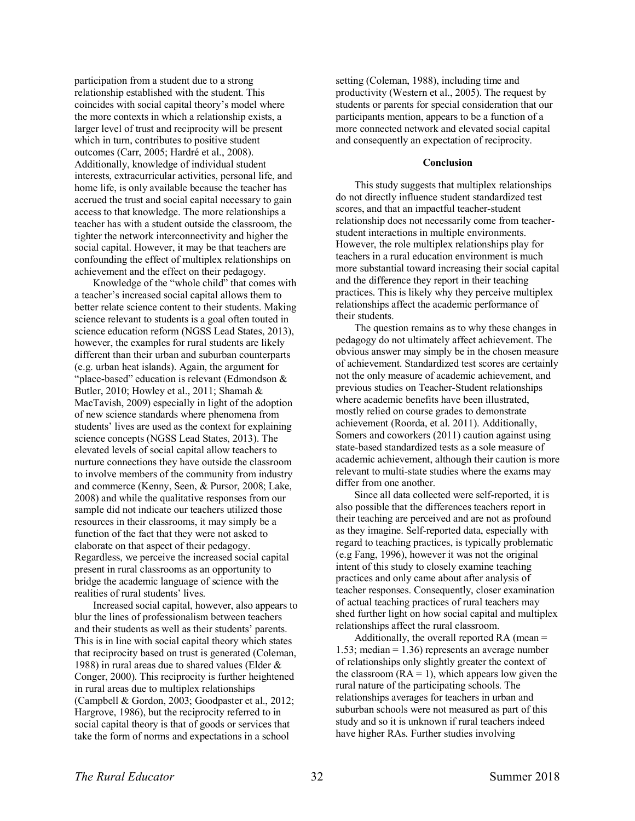participation from a student due to a strong relationship established with the student. This coincides with social capital theory's model where the more contexts in which a relationship exists, a larger level of trust and reciprocity will be present which in turn, contributes to positive student outcomes (Carr, 2005; Hardré et al., 2008). Additionally, knowledge of individual student interests, extracurricular activities, personal life, and home life, is only available because the teacher has accrued the trust and social capital necessary to gain access to that knowledge. The more relationships a teacher has with a student outside the classroom, the tighter the network interconnectivity and higher the social capital. However, it may be that teachers are confounding the effect of multiplex relationships on achievement and the effect on their pedagogy.

Knowledge of the "whole child" that comes with a teacher's increased social capital allows them to better relate science content to their students. Making science relevant to students is a goal often touted in science education reform (NGSS Lead States, 2013), however, the examples for rural students are likely different than their urban and suburban counterparts (e.g. urban heat islands). Again, the argument for "place-based" education is relevant (Edmondson & Butler, 2010; Howley et al., 2011; Shamah & MacTavish, 2009) especially in light of the adoption of new science standards where phenomena from students' lives are used as the context for explaining science concepts (NGSS Lead States, 2013). The elevated levels of social capital allow teachers to nurture connections they have outside the classroom to involve members of the community from industry and commerce (Kenny, Seen, & Pursor, 2008; Lake, 2008) and while the qualitative responses from our sample did not indicate our teachers utilized those resources in their classrooms, it may simply be a function of the fact that they were not asked to elaborate on that aspect of their pedagogy. Regardless, we perceive the increased social capital present in rural classrooms as an opportunity to bridge the academic language of science with the realities of rural students' lives.

Increased social capital, however, also appears to blur the lines of professionalism between teachers and their students as well as their students' parents. This is in line with social capital theory which states that reciprocity based on trust is generated (Coleman, 1988) in rural areas due to shared values (Elder  $\&$ Conger, 2000). This reciprocity is further heightened in rural areas due to multiplex relationships (Campbell & Gordon, 2003; Goodpaster et al., 2012; Hargrove, 1986), but the reciprocity referred to in social capital theory is that of goods or services that take the form of norms and expectations in a school

setting (Coleman, 1988), including time and productivity (Western et al., 2005). The request by students or parents for special consideration that our participants mention, appears to be a function of a more connected network and elevated social capital and consequently an expectation of reciprocity.

#### **Conclusion**

This study suggests that multiplex relationships do not directly influence student standardized test scores, and that an impactful teacher-student relationship does not necessarily come from teacherstudent interactions in multiple environments. However, the role multiplex relationships play for teachers in a rural education environment is much more substantial toward increasing their social capital and the difference they report in their teaching practices. This is likely why they perceive multiplex relationships affect the academic performance of their students.

The question remains as to why these changes in pedagogy do not ultimately affect achievement. The obvious answer may simply be in the chosen measure of achievement. Standardized test scores are certainly not the only measure of academic achievement, and previous studies on Teacher-Student relationships where academic benefits have been illustrated, mostly relied on course grades to demonstrate achievement (Roorda, et al. 2011). Additionally, Somers and coworkers (2011) caution against using state-based standardized tests as a sole measure of academic achievement, although their caution is more relevant to multi-state studies where the exams may differ from one another.

Since all data collected were self-reported, it is also possible that the differences teachers report in their teaching are perceived and are not as profound as they imagine. Self-reported data, especially with regard to teaching practices, is typically problematic (e.g Fang, 1996), however it was not the original intent of this study to closely examine teaching practices and only came about after analysis of teacher responses. Consequently, closer examination of actual teaching practices of rural teachers may shed further light on how social capital and multiplex relationships affect the rural classroom.

Additionally, the overall reported RA (mean = 1.53; median = 1.36) represents an average number of relationships only slightly greater the context of the classroom  $(RA = 1)$ , which appears low given the rural nature of the participating schools. The relationships averages for teachers in urban and suburban schools were not measured as part of this study and so it is unknown if rural teachers indeed have higher RAs. Further studies involving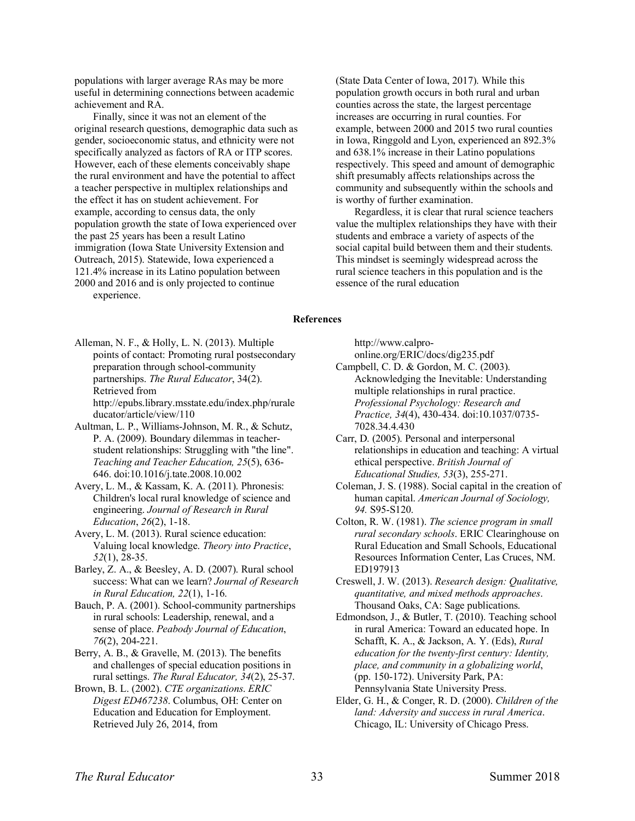populations with larger average RAs may be more useful in determining connections between academic achievement and RA.

Finally, since it was not an element of the original research questions, demographic data such as gender, socioeconomic status, and ethnicity were not specifically analyzed as factors of RA or ITP scores. However, each of these elements conceivably shape the rural environment and have the potential to affect a teacher perspective in multiplex relationships and the effect it has on student achievement. For example, according to census data, the only population growth the state of Iowa experienced over the past 25 years has been a result Latino immigration (Iowa State University Extension and Outreach, 2015). Statewide, Iowa experienced a 121.4% increase in its Latino population between 2000 and 2016 and is only projected to continue experience.

(State Data Center of Iowa, 2017). While this population growth occurs in both rural and urban counties across the state, the largest percentage increases are occurring in rural counties. For example, between 2000 and 2015 two rural counties in Iowa, Ringgold and Lyon, experienced an 892.3% and 638.1% increase in their Latino populations respectively. This speed and amount of demographic shift presumably affects relationships across the community and subsequently within the schools and is worthy of further examination.

Regardless, it is clear that rural science teachers value the multiplex relationships they have with their students and embrace a variety of aspects of the social capital build between them and their students. This mindset is seemingly widespread across the rural science teachers in this population and is the essence of the rural education

#### **References**

Alleman, N. F., & Holly, L. N. (2013). Multiple points of contact: Promoting rural postsecondary preparation through school-community partnerships. *The Rural Educator*, 34(2). Retrieved from http://epubs.library.msstate.edu/index.php/rurale ducator/article/view/110

- Aultman, L. P., Williams-Johnson, M. R., & Schutz, P. A. (2009). Boundary dilemmas in teacherstudent relationships: Struggling with "the line". *Teaching and Teacher Education, 25*(5), 636- 646. doi:10.1016/j.tate.2008.10.002
- Avery, L. M., & Kassam, K. A. (2011). Phronesis: Children's local rural knowledge of science and engineering. *Journal of Research in Rural Education*, *26*(2), 1-18.

Avery, L. M. (2013). Rural science education: Valuing local knowledge. *Theory into Practice*, *52*(1), 28-35.

Barley, Z. A., & Beesley, A. D. (2007). Rural school success: What can we learn? *Journal of Research in Rural Education, 22*(1), 1-16.

Bauch, P. A. (2001). School-community partnerships in rural schools: Leadership, renewal, and a sense of place. *Peabody Journal of Education*, *76*(2), 204-221.

Berry, A. B., & Gravelle, M. (2013). The benefits and challenges of special education positions in rural settings. *The Rural Educator, 34*(2), 25-37.

Brown, B. L. (2002). *CTE organizations*. *ERIC Digest ED467238*. Columbus, OH: Center on Education and Education for Employment. Retrieved July 26, 2014, from

http://www.calpro-

online.org/ERIC/docs/dig235.pdf

Campbell, C. D. & Gordon, M. C. (2003). Acknowledging the Inevitable: Understanding multiple relationships in rural practice. *Professional Psychology: Research and Practice, 34*(4), 430-434. doi:10.1037/0735- 7028.34.4.430

Carr, D. (2005). Personal and interpersonal relationships in education and teaching: A virtual ethical perspective. *British Journal of Educational Studies, 53*(3), 255-271.

- Coleman, J. S. (1988). Social capital in the creation of human capital. *American Journal of Sociology, 94.* S95-S120.
- Colton, R. W. (1981). *The science program in small rural secondary schools*. ERIC Clearinghouse on Rural Education and Small Schools, Educational Resources Information Center, Las Cruces, NM. ED197913

Creswell, J. W. (2013). *Research design: Qualitative, quantitative, and mixed methods approaches*. Thousand Oaks, CA: Sage publications.

Edmondson, J., & Butler, T. (2010). Teaching school in rural America: Toward an educated hope. In Schafft, K. A., & Jackson, A. Y. (Eds), *Rural education for the twenty-first century: Identity, place, and community in a globalizing world*, (pp. 150-172). University Park, PA: Pennsylvania State University Press.

Elder, G. H., & Conger, R. D. (2000). *Children of the land: Adversity and success in rural America*. Chicago, IL: University of Chicago Press.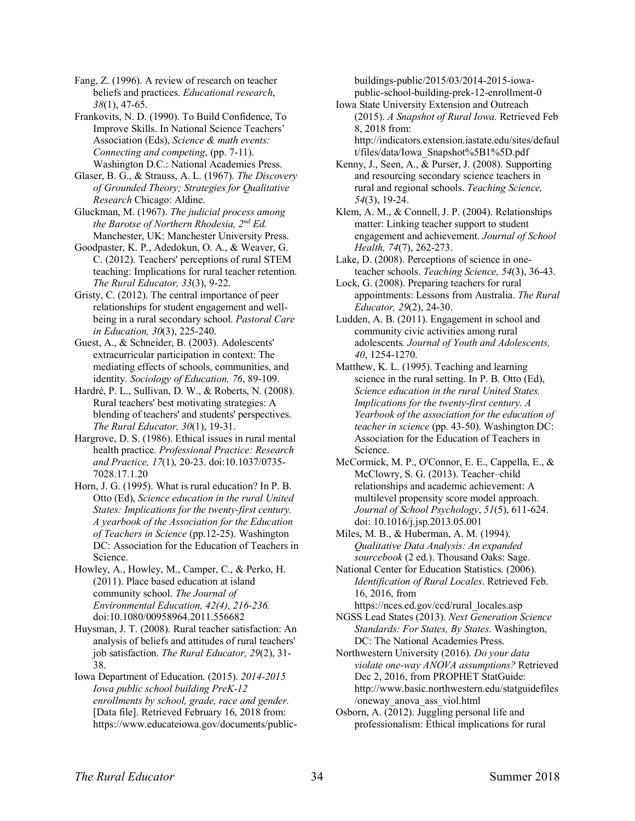Fang, Z. (1996). A review of research on teacher beliefs and practices. *Educational research*, *38*(1), 47-65.

Frankovits, N. D. (1990). To Build Confidence, To Improve Skills. In National Science Teachers' Association (Eds), *Science & math events: Connecting and competing*, (pp. 7-11). Washington D.C.: National Academies Press.

Glaser, B. G., & Strauss, A. L. (1967). *The Discovery of Grounded Theory; Strategies for Qualitative Research* Chicago: Aldine.

Gluckman, M. (1967). *The judicial process among the Barotse of Northern Rhodesia, 2nd Ed.* Manchester, UK: Manchester University Press.

Goodpaster, K. P., Adedokun, O. A., & Weaver, G. C. (2012). Teachers' perceptions of rural STEM teaching: Implications for rural teacher retention. *The Rural Educator, 33*(3), 9-22.

Gristy, C. (2012). The central importance of peer relationships for student engagement and wellbeing in a rural secondary school. *Pastoral Care in Education, 30*(3), 225-240.

Guest, A., & Schneider, B. (2003). Adolescents' extracurricular participation in context: The mediating effects of schools, communities, and identity. *Sociology of Education, 76*, 89-109.

Hardré, P. L., Sullivan, D. W., & Roberts, N. (2008). Rural teachers' best motivating strategies: A blending of teachers' and students' perspectives. *The Rural Educator, 30*(1), 19-31.

Hargrove, D. S. (1986). Ethical issues in rural mental health practice. *Professional Practice: Research and Practice, 17*(1), 20-23. doi:10.1037/0735- 7028.17.1.20

Horn, J. G. (1995). What is rural education? In P. B. Otto (Ed), *Science education in the rural United States: Implications for the twenty-first century. A yearbook of the Association for the Education of Teachers in Science* (pp.12-25). Washington DC: Association for the Education of Teachers in Science.

Howley, A., Howley, M., Camper, C., & Perko, H. (2011). Place based education at island community school. *The Journal of Environmental Education, 42(4), 216-236.* doi:10.1080/00958964.2011.556682

Huysman, J. T. (2008). Rural teacher satisfaction: An analysis of beliefs and attitudes of rural teachers' job satisfaction. *The Rural Educator, 29*(2), 31- 38.

Iowa Department of Education. (2015). *2014-2015 Iowa public school building PreK-12 enrollments by school, grade, race and gender.* [Data file]. Retrieved February 16, 2018 from: https://www.educateiowa.gov/documents/publicbuildings-public/2015/03/2014-2015-iowapublic-school-building-prek-12-enrollment-0

Iowa State University Extension and Outreach (2015). *A Snapshot of Rural Iowa.* Retrieved Feb 8, 2018 from: http://indicators.extension.iastate.edu/sites/defaul t/files/data/Iowa\_Snapshot%5B1%5D.pdf

Kenny, J., Seen, A., & Purser, J. (2008). Supporting and resourcing secondary science teachers in rural and regional schools. *Teaching Science, 54*(3), 19-24.

Klem, A. M., & Connell, J. P. (2004). Relationships matter: Linking teacher support to student engagement and achievement. *Journal of School Health, 74*(7), 262-273.

Lake, D. (2008). Perceptions of science in oneteacher schools. *Teaching Science, 54*(3), 36-43.

Lock, G. (2008). Preparing teachers for rural appointments: Lessons from Australia. *The Rural Educator, 29*(2), 24-30.

Ludden, A. B. (2011). Engagement in school and community civic activities among rural adolescents*. Journal of Youth and Adolescents, 40*, 1254-1270.

Matthew, K. L. (1995). Teaching and learning science in the rural setting. In P. B. Otto (Ed), *Science education in the rural United States. Implications for the twenty-first century. A Yearbook of the association for the education of teacher in science* (pp. 43-50). Washington DC: Association for the Education of Teachers in Science.

McCormick, M. P., O'Connor, E. E., Cappella, E., & McClowry, S. G. (2013). Teacher–child relationships and academic achievement: A multilevel propensity score model approach. *Journal of School Psychology*, *51*(5), 611-624. doi: 10.1016/j.jsp.2013.05.001

Miles, M. B., & Huberman, A. M. (1994). *Qualitative Data Analysis: An expanded sourcebook* (2 ed.). Thousand Oaks: Sage.

National Center for Education Statistics. (2006). *Identification of Rural Locales*. Retrieved Feb. 16, 2016, from

https://nces.ed.gov/ccd/rural\_locales.asp NGSS Lead States (2013). *Next Generation Science Standards: For States, By States*. Washington, DC: The National Academies Press.

Northwestern University (2016). *Do your data violate one-way ANOVA assumptions?* Retrieved Dec 2, 2016, from PROPHET StatGuide: http://www.basic.northwestern.edu/statguidefiles /oneway\_anova\_ass\_viol.html

Osborn, A. (2012). Juggling personal life and professionalism: Ethical implications for rural